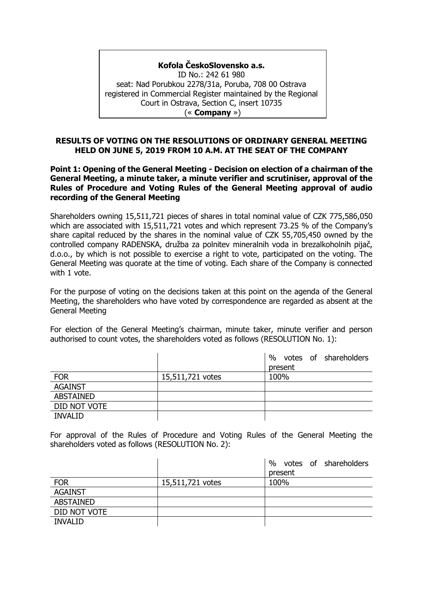## **Kofola ČeskoSlovensko a.s.**

ID No.: 242 61 980 seat: Nad Porubkou 2278/31a, Poruba, 708 00 Ostrava registered in Commercial Register maintained by the Regional Court in Ostrava, Section C, insert 10735 (« **Company** »)

#### **RESULTS OF VOTING ON THE RESOLUTIONS OF ORDINARY GENERAL MEETING HELD ON JUNE 5, 2019 FROM 10 A.M. AT THE SEAT OF THE COMPANY**

**Point 1: Opening of the General Meeting - Decision on election of a chairman of the General Meeting, a minute taker, a minute verifier and scrutiniser, approval of the Rules of Procedure and Voting Rules of the General Meeting approval of audio recording of the General Meeting**

Shareholders owning 15,511,721 pieces of shares in total nominal value of CZK 775,586,050 which are associated with 15,511,721 votes and which represent 73.25 % of the Company's share capital reduced by the shares in the nominal value of CZK 55,705,450 owned by the controlled company RADENSKA, družba za polnitev mineralnih voda in brezalkoholnih pijač, d.o.o., by which is not possible to exercise a right to vote, participated on the voting. The General Meeting was quorate at the time of voting. Each share of the Company is connected with 1 vote.

For the purpose of voting on the decisions taken at this point on the agenda of the General Meeting, the shareholders who have voted by correspondence are regarded as absent at the General Meeting

For election of the General Meeting's chairman, minute taker, minute verifier and person authorised to count votes, the shareholders voted as follows (RESOLUTION No. 1):

|                |                  | votes of shareholders<br>% |
|----------------|------------------|----------------------------|
|                |                  | present                    |
| <b>FOR</b>     | 15,511,721 votes | 100%                       |
| <b>AGAINST</b> |                  |                            |
| ABSTAINED      |                  |                            |
| DID NOT VOTE   |                  |                            |
| <b>INVALID</b> |                  |                            |

For approval of the Rules of Procedure and Voting Rules of the General Meeting the shareholders voted as follows (RESOLUTION No. 2):

|                  |                  | votes of shareholders<br>$\%$<br>present |
|------------------|------------------|------------------------------------------|
|                  |                  |                                          |
| <b>FOR</b>       | 15,511,721 votes | 100%                                     |
| <b>AGAINST</b>   |                  |                                          |
| <b>ABSTAINED</b> |                  |                                          |
| DID NOT VOTE     |                  |                                          |
| <b>INVALID</b>   |                  |                                          |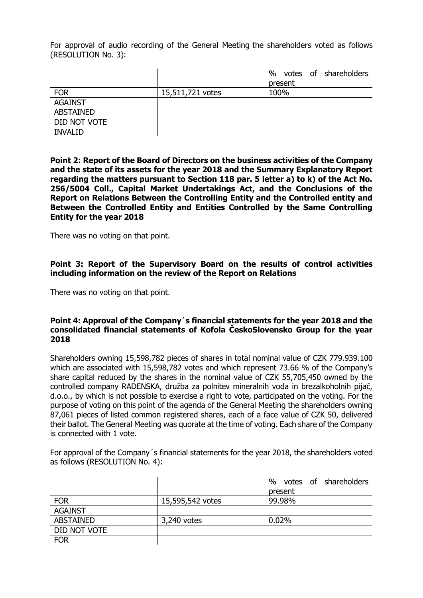For approval of audio recording of the General Meeting the shareholders voted as follows (RESOLUTION No. 3):

|                  |                  | $\%$<br>votes of shareholders |
|------------------|------------------|-------------------------------|
|                  |                  | present                       |
| <b>FOR</b>       | 15,511,721 votes | 100%                          |
| <b>AGAINST</b>   |                  |                               |
| <b>ABSTAINED</b> |                  |                               |
| DID NOT VOTE     |                  |                               |
| <b>INVALID</b>   |                  |                               |

**Point 2: Report of the Board of Directors on the business activities of the Company and the state of its assets for the year 2018 and the Summary Explanatory Report regarding the matters pursuant to Section 118 par. 5 letter a) to k) of the Act No. 256/5004 Coll., Capital Market Undertakings Act, and the Conclusions of the Report on Relations Between the Controlling Entity and the Controlled entity and Between the Controlled Entity and Entities Controlled by the Same Controlling Entity for the year 2018**

There was no voting on that point.

## **Point 3: Report of the Supervisory Board on the results of control activities including information on the review of the Report on Relations**

There was no voting on that point.

#### **Point 4: Approval of the Company´s financial statements for the year 2018 and the consolidated financial statements of Kofola ČeskoSlovensko Group for the year 2018**

Shareholders owning 15,598,782 pieces of shares in total nominal value of CZK 779.939.100 which are associated with 15,598,782 votes and which represent 73.66 % of the Company's share capital reduced by the shares in the nominal value of CZK 55,705,450 owned by the controlled company RADENSKA, družba za polnitev mineralnih voda in brezalkoholnih pijač, d.o.o., by which is not possible to exercise a right to vote, participated on the voting. For the purpose of voting on this point of the agenda of the General Meeting the shareholders owning 87,061 pieces of listed common registered shares, each of a face value of CZK 50, delivered their ballot. The General Meeting was quorate at the time of voting. Each share of the Company is connected with 1 vote.

For approval of the Company´s financial statements for the year 2018, the shareholders voted as follows (RESOLUTION No. 4):

|                  |                  | votes of shareholders<br>$\%$ |
|------------------|------------------|-------------------------------|
|                  |                  | present                       |
| <b>FOR</b>       | 15,595,542 votes | 99.98%                        |
| <b>AGAINST</b>   |                  |                               |
| <b>ABSTAINED</b> | 3,240 votes      | 0.02%                         |
| DID NOT VOTE     |                  |                               |
| <b>FOR</b>       |                  |                               |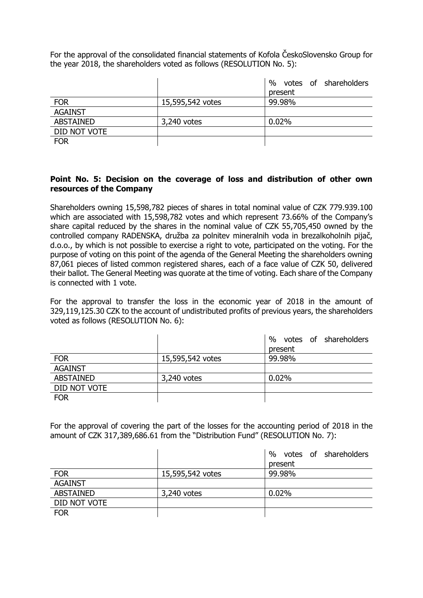For the approval of the consolidated financial statements of Kofola ČeskoSlovensko Group for the year 2018, the shareholders voted as follows (RESOLUTION No. 5):

|                  |                  | %<br>votes of shareholders |
|------------------|------------------|----------------------------|
|                  |                  | present                    |
| <b>FOR</b>       | 15,595,542 votes | 99.98%                     |
| <b>AGAINST</b>   |                  |                            |
| <b>ABSTAINED</b> | 3,240 votes      | 0.02%                      |
| DID NOT VOTE     |                  |                            |
| <b>FOR</b>       |                  |                            |

## **Point No. 5: Decision on the coverage of loss and distribution of other own resources of the Company**

Shareholders owning 15,598,782 pieces of shares in total nominal value of CZK 779.939.100 which are associated with 15,598,782 votes and which represent 73.66% of the Company's share capital reduced by the shares in the nominal value of CZK 55,705,450 owned by the controlled company RADENSKA, družba za polnitev mineralnih voda in brezalkoholnih pijač, d.o.o., by which is not possible to exercise a right to vote, participated on the voting. For the purpose of voting on this point of the agenda of the General Meeting the shareholders owning 87,061 pieces of listed common registered shares, each of a face value of CZK 50, delivered their ballot. The General Meeting was quorate at the time of voting. Each share of the Company is connected with 1 vote.

For the approval to transfer the loss in the economic year of 2018 in the amount of 329,119,125.30 CZK to the account of undistributed profits of previous years, the shareholders voted as follows (RESOLUTION No. 6):

|                  |                  | %<br>votes of shareholders |
|------------------|------------------|----------------------------|
|                  |                  | present                    |
| <b>FOR</b>       | 15,595,542 votes | 99.98%                     |
| <b>AGAINST</b>   |                  |                            |
| <b>ABSTAINED</b> | 3,240 votes      | 0.02%                      |
| DID NOT VOTE     |                  |                            |
| <b>FOR</b>       |                  |                            |

For the approval of covering the part of the losses for the accounting period of 2018 in the amount of CZK 317,389,686.61 from the "Distribution Fund" (RESOLUTION No. 7):

|                  |                  | votes of shareholders<br>$\%$ |
|------------------|------------------|-------------------------------|
|                  |                  | present                       |
| <b>FOR</b>       | 15,595,542 votes | 99.98%                        |
| <b>AGAINST</b>   |                  |                               |
| <b>ABSTAINED</b> | 3,240 votes      | 0.02%                         |
| DID NOT VOTE     |                  |                               |
| <b>FOR</b>       |                  |                               |